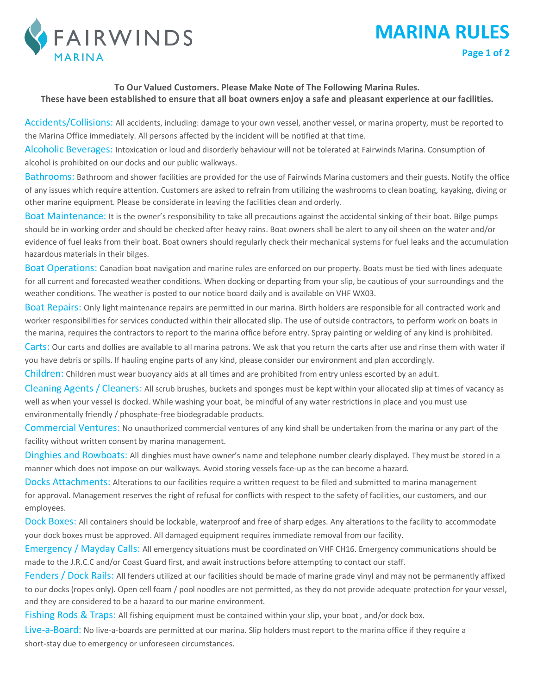

## **To Our Valued Customers. Please Make Note of The Following Marina Rules. These have been established to ensure that all boat owners enjoy a safe and pleasant experience at our facilities.**

**MARINA RULES**

**Page 1 of 2**

Accidents/Collisions: All accidents, including: damage to your own vessel, another vessel, or marina property, must be reported to the Marina Office immediately. All persons affected by the incident will be notified at that time.

Alcoholic Beverages: Intoxication or loud and disorderly behaviour will not be tolerated at Fairwinds Marina. Consumption of alcohol is prohibited on our docks and our public walkways.

Bathrooms: Bathroom and shower facilities are provided for the use of Fairwinds Marina customers and their guests. Notify the office of any issues which require attention. Customers are asked to refrain from utilizing the washrooms to clean boating, kayaking, diving or other marine equipment. Please be considerate in leaving the facilities clean and orderly.

Boat Maintenance: It is the owner's responsibility to take all precautions against the accidental sinking of their boat. Bilge pumps should be in working order and should be checked after heavy rains. Boat owners shall be alert to any oil sheen on the water and/or evidence of fuel leaks from their boat. Boat owners should regularly check their mechanical systems for fuel leaks and the accumulation hazardous materials in their bilges.

Boat Operations: Canadian boat navigation and marine rules are enforced on our property. Boats must be tied with lines adequate for all current and forecasted weather conditions. When docking or departing from your slip, be cautious of your surroundings and the weather conditions. The weather is posted to our notice board daily and is available on VHF WX03.

Boat Repairs: Only light maintenance repairs are permitted in our marina. Birth holders are responsible for all contracted work and worker responsibilities for services conducted within their allocated slip. The use of outside contractors, to perform work on boats in the marina, requires the contractors to report to the marina office before entry. Spray painting or welding of any kind is prohibited.

Carts: Our carts and dollies are available to all marina patrons. We ask that you return the carts after use and rinse them with water if you have debris or spills. If hauling engine parts of any kind, please consider our environment and plan accordingly.

Children: Children must wear buoyancy aids at all times and are prohibited from entry unless escorted by an adult.

Cleaning Agents / Cleaners: All scrub brushes, buckets and sponges must be kept within your allocated slip at times of vacancy as well as when your vessel is docked. While washing your boat, be mindful of any water restrictions in place and you must use environmentally friendly / phosphate-free biodegradable products.

Commercial Ventures: No unauthorized commercial ventures of any kind shall be undertaken from the marina or any part of the facility without written consent by marina management.

Dinghies and Rowboats: All dinghies must have owner's name and telephone number clearly displayed. They must be stored in a manner which does not impose on our walkways. Avoid storing vessels face-up as the can become a hazard.

Docks Attachments: Alterations to our facilities require a written request to be filed and submitted to marina management for approval. Management reserves the right of refusal for conflicts with respect to the safety of facilities, our customers, and our employees.

Dock Boxes: All containers should be lockable, waterproof and free of sharp edges. Any alterations to the facility to accommodate your dock boxes must be approved. All damaged equipment requires immediate removal from our facility.

Emergency / Mayday Calls: All emergency situations must be coordinated on VHF CH16. Emergency communications should be made to the J.R.C.C and/or Coast Guard first, and await instructions before attempting to contact our staff.

Fenders / Dock Rails: All fenders utilized at our facilities should be made of marine grade vinyl and may not be permanently affixed to our docks (ropes only). Open cell foam / pool noodles are not permitted, as they do not provide adequate protection for your vessel, and they are considered to be a hazard to our marine environment.

Fishing Rods & Traps: All fishing equipment must be contained within your slip, your boat , and/or dock box.

Live-a-Board: No live-a-boards are permitted at our marina. Slip holders must report to the marina office if they require a short-stay due to emergency or unforeseen circumstances.